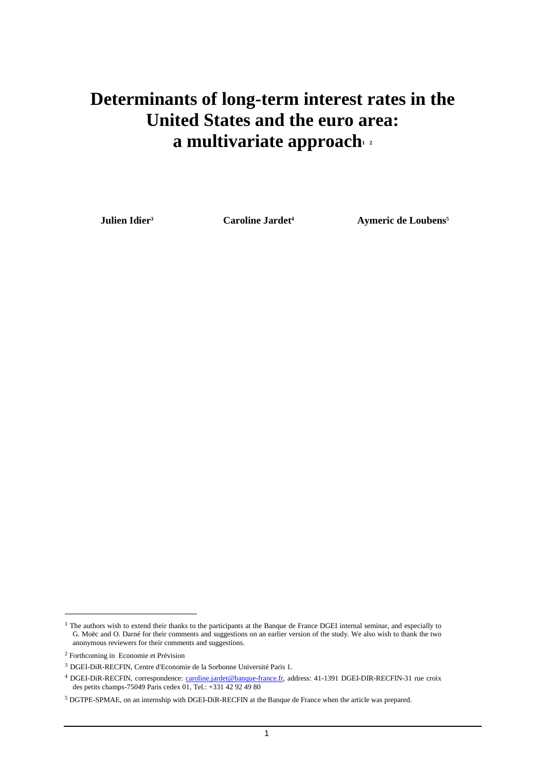# **Determinants of long-term interest rates in the United States and the euro area: a multivariate approach<sup>1</sup> <sup>2</sup>**

**Julien Idier<sup>3</sup> Caroline Jardet<sup>4</sup> Aymeric de Loubens<sup>5</sup>**

<sup>&</sup>lt;sup>1</sup> The authors wish to extend their thanks to the participants at the Banque de France DGEI internal seminar, and especially to G. Moëc and O. Darné for their comments and suggestions on an earlier version of the study. We also wish to thank the two anonymous reviewers for their comments and suggestions.

<sup>2</sup> Forthcoming in Economie et Prévision

<sup>3</sup> DGEI-DiR-RECFIN, Centre d'Economie de la Sorbonne Université Paris 1.

<sup>&</sup>lt;sup>4</sup> DGEI-DiR-RECFIN, correspondence: caroline.jardet@banque-france.fr, address: 41-1391 DGEI-DIR-RECFIN-31 rue croix des petits champs-75049 Paris cedex 01, Tel.: +331 42 92 49 80

<sup>&</sup>lt;sup>5</sup> DGTPE-SPMAE, on an internship with DGEI-DiR-RECFIN at the Banque de France when the article was prepared.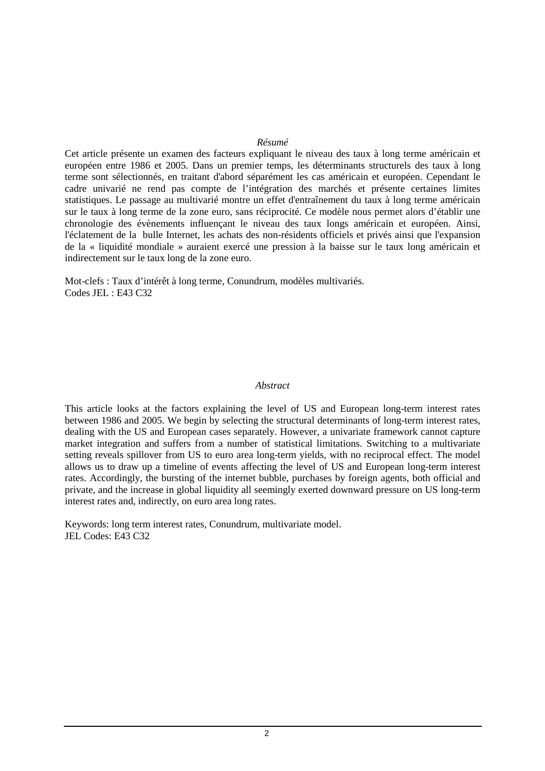#### *Résumé*

Cet article présente un examen des facteurs expliquant le niveau des taux à long terme américain et européen entre 1986 et 2005. Dans un premier temps, les déterminants structurels des taux à long terme sont sélectionnés, en traitant d'abord séparément les cas américain et européen. Cependant le cadre univarié ne rend pas compte de l'intégration des marchés et présente certaines limites statistiques. Le passage au multivarié montre un effet d'entraînement du taux à long terme américain sur le taux à long terme de la zone euro, sans réciprocité. Ce modèle nous permet alors d'établir une chronologie des évènements influençant le niveau des taux longs américain et européen. Ainsi, l'éclatement de la bulle Internet, les achats des non-résidents officiels et privés ainsi que l'expansion de la « liquidité mondiale » auraient exercé une pression à la baisse sur le taux long américain et indirectement sur le taux long de la zone euro.

Mot-clefs : Taux d'intérêt à long terme, Conundrum, modèles multivariés. Codes JEL : E43 C32

#### *Abstract*

This article looks at the factors explaining the level of US and European long-term interest rates between 1986 and 2005. We begin by selecting the structural determinants of long-term interest rates, dealing with the US and European cases separately. However, a univariate framework cannot capture market integration and suffers from a number of statistical limitations. Switching to a multivariate setting reveals spillover from US to euro area long-term yields, with no reciprocal effect. The model allows us to draw up a timeline of events affecting the level of US and European long-term interest rates. Accordingly, the bursting of the internet bubble, purchases by foreign agents, both official and private, and the increase in global liquidity all seemingly exerted downward pressure on US long-term interest rates and, indirectly, on euro area long rates.

Keywords: long term interest rates, Conundrum, multivariate model. JEL Codes: E43 C32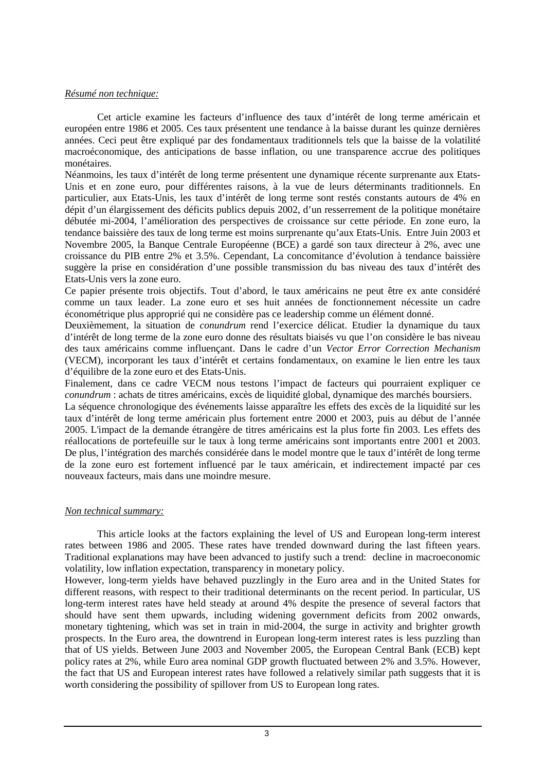### *Résumé non technique:*

 Cet article examine les facteurs d'influence des taux d'intérêt de long terme américain et européen entre 1986 et 2005. Ces taux présentent une tendance à la baisse durant les quinze dernières années. Ceci peut être expliqué par des fondamentaux traditionnels tels que la baisse de la volatilité macroéconomique, des anticipations de basse inflation, ou une transparence accrue des politiques monétaires.

Néanmoins, les taux d'intérêt de long terme présentent une dynamique récente surprenante aux Etats-Unis et en zone euro, pour différentes raisons, à la vue de leurs déterminants traditionnels. En particulier, aux Etats-Unis, les taux d'intérêt de long terme sont restés constants autours de 4% en dépit d'un élargissement des déficits publics depuis 2002, d'un resserrement de la politique monétaire débutée mi-2004, l'amélioration des perspectives de croissance sur cette période. En zone euro, la tendance baissière des taux de long terme est moins surprenante qu'aux Etats-Unis. Entre Juin 2003 et Novembre 2005, la Banque Centrale Européenne (BCE) a gardé son taux directeur à 2%, avec une croissance du PIB entre 2% et 3.5%. Cependant, La concomitance d'évolution à tendance baissière suggère la prise en considération d'une possible transmission du bas niveau des taux d'intérêt des Etats-Unis vers la zone euro.

Ce papier présente trois objectifs. Tout d'abord, le taux américains ne peut être ex ante considéré comme un taux leader. La zone euro et ses huit années de fonctionnement nécessite un cadre économétrique plus approprié qui ne considère pas ce leadership comme un élément donné.

Deuxièmement, la situation de *conundrum* rend l'exercice délicat. Etudier la dynamique du taux d'intérêt de long terme de la zone euro donne des résultats biaisés vu que l'on considère le bas niveau des taux américains comme influençant. Dans le cadre d'un *Vector Error Correction Mechanism* (VECM), incorporant les taux d'intérêt et certains fondamentaux, on examine le lien entre les taux d'équilibre de la zone euro et des Etats-Unis.

Finalement, dans ce cadre VECM nous testons l'impact de facteurs qui pourraient expliquer ce *conundrum* : achats de titres américains, excès de liquidité global, dynamique des marchés boursiers.

La séquence chronologique des événements laisse apparaître les effets des excès de la liquidité sur les taux d'intérêt de long terme américain plus fortement entre 2000 et 2003, puis au début de l'année 2005. L'impact de la demande étrangère de titres américains est la plus forte fin 2003. Les effets des réallocations de portefeuille sur le taux à long terme américains sont importants entre 2001 et 2003. De plus, l'intégration des marchés considérée dans le model montre que le taux d'intérêt de long terme de la zone euro est fortement influencé par le taux américain, et indirectement impacté par ces nouveaux facteurs, mais dans une moindre mesure.

### *Non technical summary:*

 This article looks at the factors explaining the level of US and European long-term interest rates between 1986 and 2005. These rates have trended downward during the last fifteen years. Traditional explanations may have been advanced to justify such a trend: decline in macroeconomic volatility, low inflation expectation, transparency in monetary policy.

However, long-term yields have behaved puzzlingly in the Euro area and in the United States for different reasons, with respect to their traditional determinants on the recent period. In particular, US long-term interest rates have held steady at around 4% despite the presence of several factors that should have sent them upwards, including widening government deficits from 2002 onwards, monetary tightening, which was set in train in mid-2004, the surge in activity and brighter growth prospects. In the Euro area, the downtrend in European long-term interest rates is less puzzling than that of US yields. Between June 2003 and November 2005, the European Central Bank (ECB) kept policy rates at 2%, while Euro area nominal GDP growth fluctuated between 2% and 3.5%. However, the fact that US and European interest rates have followed a relatively similar path suggests that it is worth considering the possibility of spillover from US to European long rates.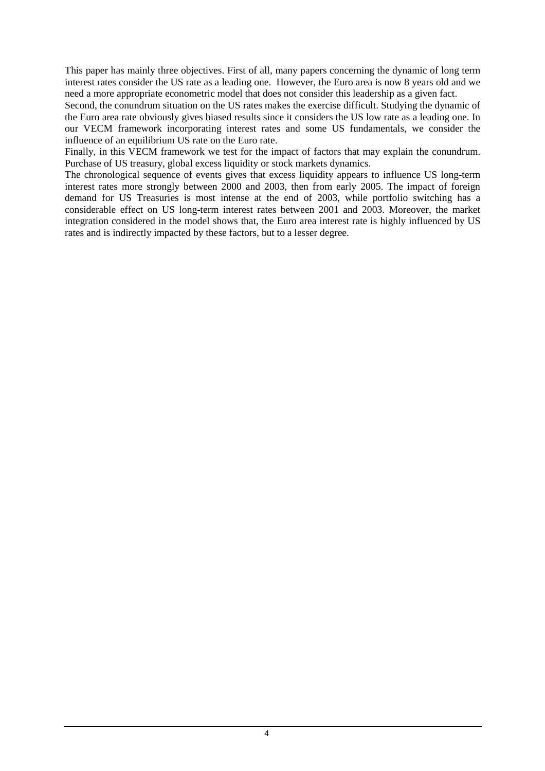This paper has mainly three objectives. First of all, many papers concerning the dynamic of long term interest rates consider the US rate as a leading one. However, the Euro area is now 8 years old and we need a more appropriate econometric model that does not consider this leadership as a given fact.

Second, the conundrum situation on the US rates makes the exercise difficult. Studying the dynamic of the Euro area rate obviously gives biased results since it considers the US low rate as a leading one. In our VECM framework incorporating interest rates and some US fundamentals, we consider the influence of an equilibrium US rate on the Euro rate.

Finally, in this VECM framework we test for the impact of factors that may explain the conundrum. Purchase of US treasury, global excess liquidity or stock markets dynamics.

The chronological sequence of events gives that excess liquidity appears to influence US long-term interest rates more strongly between 2000 and 2003, then from early 2005. The impact of foreign demand for US Treasuries is most intense at the end of 2003, while portfolio switching has a considerable effect on US long-term interest rates between 2001 and 2003. Moreover, the market integration considered in the model shows that, the Euro area interest rate is highly influenced by US rates and is indirectly impacted by these factors, but to a lesser degree.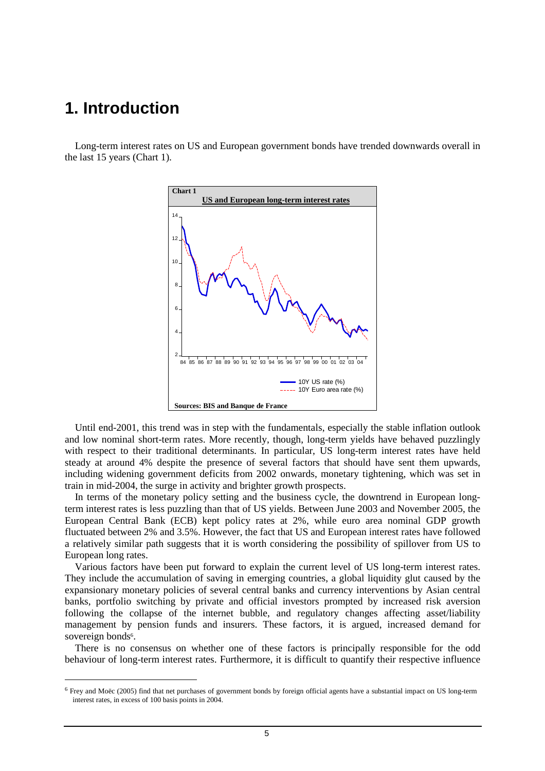### **1. Introduction**

 $\overline{a}$ 

 Long-term interest rates on US and European government bonds have trended downwards overall in the last 15 years (Chart 1).



 Until end-2001, this trend was in step with the fundamentals, especially the stable inflation outlook and low nominal short-term rates. More recently, though, long-term yields have behaved puzzlingly with respect to their traditional determinants. In particular, US long-term interest rates have held steady at around 4% despite the presence of several factors that should have sent them upwards, including widening government deficits from 2002 onwards, monetary tightening, which was set in train in mid-2004, the surge in activity and brighter growth prospects.

 In terms of the monetary policy setting and the business cycle, the downtrend in European longterm interest rates is less puzzling than that of US yields. Between June 2003 and November 2005, the European Central Bank (ECB) kept policy rates at 2%, while euro area nominal GDP growth fluctuated between 2% and 3.5%. However, the fact that US and European interest rates have followed a relatively similar path suggests that it is worth considering the possibility of spillover from US to European long rates.

 Various factors have been put forward to explain the current level of US long-term interest rates. They include the accumulation of saving in emerging countries, a global liquidity glut caused by the expansionary monetary policies of several central banks and currency interventions by Asian central banks, portfolio switching by private and official investors prompted by increased risk aversion following the collapse of the internet bubble, and regulatory changes affecting asset/liability management by pension funds and insurers. These factors, it is argued, increased demand for sovereign bonds<sup>6</sup>.

 There is no consensus on whether one of these factors is principally responsible for the odd behaviour of long-term interest rates. Furthermore, it is difficult to quantify their respective influence

<sup>&</sup>lt;sup>6</sup> Frey and Moëc (2005) find that net purchases of government bonds by foreign official agents have a substantial impact on US long-term interest rates, in excess of 100 basis points in 2004.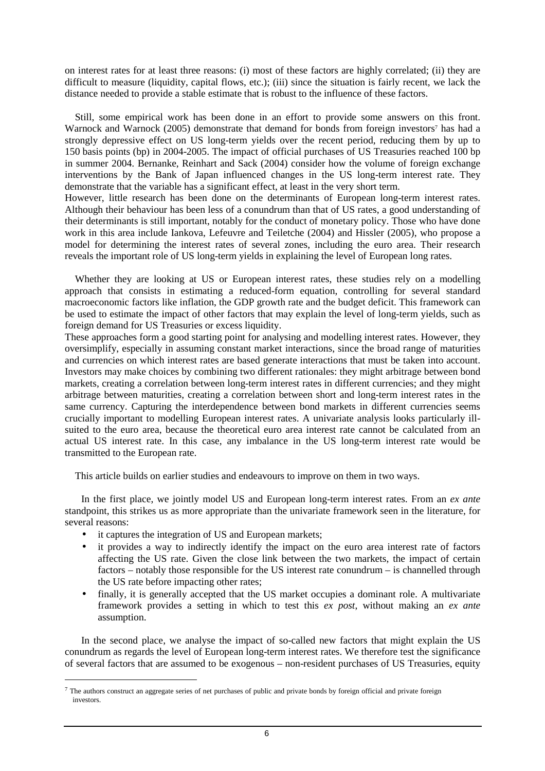on interest rates for at least three reasons: (i) most of these factors are highly correlated; (ii) they are difficult to measure (liquidity, capital flows, etc.); (iii) since the situation is fairly recent, we lack the distance needed to provide a stable estimate that is robust to the influence of these factors.

 Still, some empirical work has been done in an effort to provide some answers on this front. Warnock and Warnock (2005) demonstrate that demand for bonds from foreign investors<sup>7</sup> has had a strongly depressive effect on US long-term yields over the recent period, reducing them by up to 150 basis points (bp) in 2004-2005. The impact of official purchases of US Treasuries reached 100 bp in summer 2004. Bernanke, Reinhart and Sack (2004) consider how the volume of foreign exchange interventions by the Bank of Japan influenced changes in the US long-term interest rate. They demonstrate that the variable has a significant effect, at least in the very short term.

However, little research has been done on the determinants of European long-term interest rates. Although their behaviour has been less of a conundrum than that of US rates, a good understanding of their determinants is still important, notably for the conduct of monetary policy. Those who have done work in this area include Iankova, Lefeuvre and Teiletche (2004) and Hissler (2005), who propose a model for determining the interest rates of several zones, including the euro area. Their research reveals the important role of US long-term yields in explaining the level of European long rates.

 Whether they are looking at US or European interest rates, these studies rely on a modelling approach that consists in estimating a reduced-form equation, controlling for several standard macroeconomic factors like inflation, the GDP growth rate and the budget deficit. This framework can be used to estimate the impact of other factors that may explain the level of long-term yields, such as foreign demand for US Treasuries or excess liquidity.

These approaches form a good starting point for analysing and modelling interest rates. However, they oversimplify, especially in assuming constant market interactions, since the broad range of maturities and currencies on which interest rates are based generate interactions that must be taken into account. Investors may make choices by combining two different rationales: they might arbitrage between bond markets, creating a correlation between long-term interest rates in different currencies; and they might arbitrage between maturities, creating a correlation between short and long-term interest rates in the same currency. Capturing the interdependence between bond markets in different currencies seems crucially important to modelling European interest rates. A univariate analysis looks particularly illsuited to the euro area, because the theoretical euro area interest rate cannot be calculated from an actual US interest rate. In this case, any imbalance in the US long-term interest rate would be transmitted to the European rate.

This article builds on earlier studies and endeavours to improve on them in two ways.

In the first place, we jointly model US and European long-term interest rates. From an *ex ante* standpoint, this strikes us as more appropriate than the univariate framework seen in the literature, for several reasons:

• it captures the integration of US and European markets;

 $\overline{a}$ 

- it provides a way to indirectly identify the impact on the euro area interest rate of factors affecting the US rate. Given the close link between the two markets, the impact of certain factors – notably those responsible for the US interest rate conundrum – is channelled through the US rate before impacting other rates;
- finally, it is generally accepted that the US market occupies a dominant role. A multivariate framework provides a setting in which to test this *ex post*, without making an *ex ante* assumption.

In the second place, we analyse the impact of so-called new factors that might explain the US conundrum as regards the level of European long-term interest rates. We therefore test the significance of several factors that are assumed to be exogenous – non-resident purchases of US Treasuries, equity

 $^7$  The authors construct an aggregate series of net purchases of public and private bonds by foreign official and private foreign investors.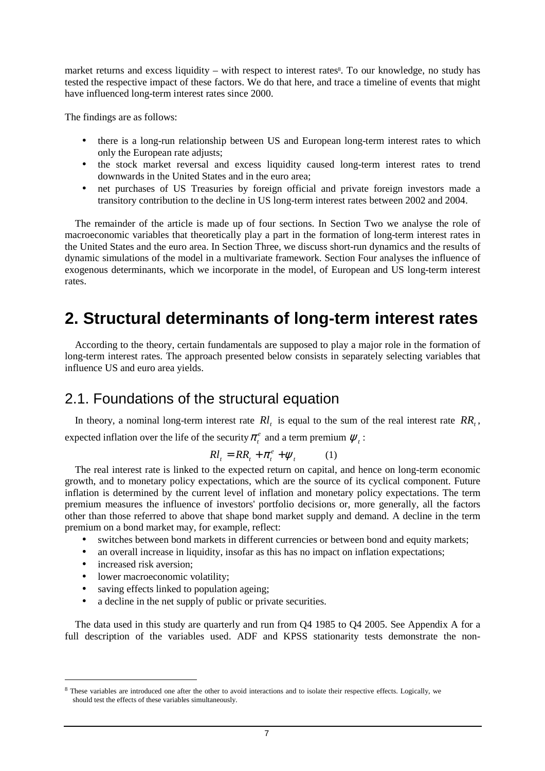market returns and excess liquidity – with respect to interest rates<sup>8</sup>. To our knowledge, no study has tested the respective impact of these factors. We do that here, and trace a timeline of events that might have influenced long-term interest rates since 2000.

The findings are as follows:

- there is a long-run relationship between US and European long-term interest rates to which only the European rate adjusts;
- the stock market reversal and excess liquidity caused long-term interest rates to trend downwards in the United States and in the euro area;
- net purchases of US Treasuries by foreign official and private foreign investors made a transitory contribution to the decline in US long-term interest rates between 2002 and 2004.

 The remainder of the article is made up of four sections. In Section Two we analyse the role of macroeconomic variables that theoretically play a part in the formation of long-term interest rates in the United States and the euro area. In Section Three, we discuss short-run dynamics and the results of dynamic simulations of the model in a multivariate framework. Section Four analyses the influence of exogenous determinants, which we incorporate in the model, of European and US long-term interest rates.

# **2. Structural determinants of long-term interest rates**

 According to the theory, certain fundamentals are supposed to play a major role in the formation of long-term interest rates. The approach presented below consists in separately selecting variables that influence US and euro area yields.

### 2.1. Foundations of the structural equation

In theory, a nominal long-term interest rate  $R_l$  is equal to the sum of the real interest rate  $RR_t$ , expected inflation over the life of the security  $\pi_t^e$  and a term premium  $\psi_t$ :

$$
Rl_t = RR_t + \pi_t^e + \psi_t \qquad (1)
$$

 The real interest rate is linked to the expected return on capital, and hence on long-term economic growth, and to monetary policy expectations, which are the source of its cyclical component. Future inflation is determined by the current level of inflation and monetary policy expectations. The term premium measures the influence of investors' portfolio decisions or, more generally, all the factors other than those referred to above that shape bond market supply and demand. A decline in the term premium on a bond market may, for example, reflect:

- switches between bond markets in different currencies or between bond and equity markets;
- an overall increase in liquidity, insofar as this has no impact on inflation expectations;
- increased risk aversion;

 $\overline{a}$ 

- lower macroeconomic volatility;
- saving effects linked to population ageing;
- a decline in the net supply of public or private securities.

 The data used in this study are quarterly and run from Q4 1985 to Q4 2005. See Appendix A for a full description of the variables used. ADF and KPSS stationarity tests demonstrate the non-

<sup>&</sup>lt;sup>8</sup> These variables are introduced one after the other to avoid interactions and to isolate their respective effects. Logically, we should test the effects of these variables simultaneously.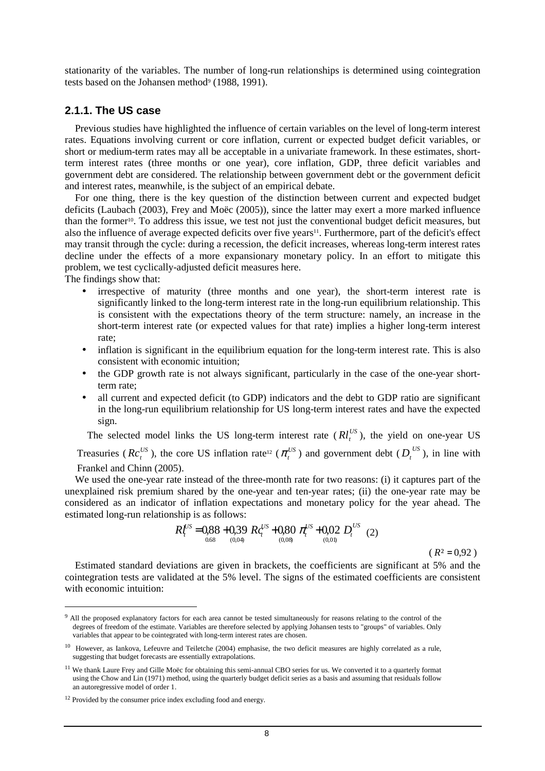stationarity of the variables. The number of long-run relationships is determined using cointegration tests based on the Johansen method<sup>9</sup> (1988, 1991).

### **2.1.1. The US case**

 Previous studies have highlighted the influence of certain variables on the level of long-term interest rates. Equations involving current or core inflation, current or expected budget deficit variables, or short or medium-term rates may all be acceptable in a univariate framework. In these estimates, shortterm interest rates (three months or one year), core inflation, GDP, three deficit variables and government debt are considered. The relationship between government debt or the government deficit and interest rates, meanwhile, is the subject of an empirical debate.

 For one thing, there is the key question of the distinction between current and expected budget deficits (Laubach (2003), Frey and Moëc (2005)), since the latter may exert a more marked influence than the former10. To address this issue, we test not just the conventional budget deficit measures, but also the influence of average expected deficits over five years<sup>11</sup>. Furthermore, part of the deficit's effect may transit through the cycle: during a recession, the deficit increases, whereas long-term interest rates decline under the effects of a more expansionary monetary policy. In an effort to mitigate this problem, we test cyclically-adjusted deficit measures here.

The findings show that:

 $\overline{a}$ 

- irrespective of maturity (three months and one year), the short-term interest rate is significantly linked to the long-term interest rate in the long-run equilibrium relationship. This is consistent with the expectations theory of the term structure: namely, an increase in the short-term interest rate (or expected values for that rate) implies a higher long-term interest rate;
- inflation is significant in the equilibrium equation for the long-term interest rate. This is also consistent with economic intuition;
- the GDP growth rate is not always significant, particularly in the case of the one-year shortterm rate;
- all current and expected deficit (to GDP) indicators and the debt to GDP ratio are significant in the long-run equilibrium relationship for US long-term interest rates and have the expected sign.

The selected model links the US long-term interest rate  $(Rl_t^{US})$ , the yield on one-year US

Treasuries ( $Re_t^{US}$ ), the core US inflation rate<sup>12</sup> ( $\pi_t^{US}$ ) and government debt ( $D_t^{US}$ ), in line with Frankel and Chinn (2005).

 We used the one-year rate instead of the three-month rate for two reasons: (i) it captures part of the unexplained risk premium shared by the one-year and ten-year rates; (ii) the one-year rate may be considered as an indicator of inflation expectations and monetary policy for the year ahead. The estimated long-run relationship is as follows:

$$
R_t^{US} = 0.88 + 0.39 \t R_c^{US} + 0.80 \t \t \pi_t^{US} + 0.02 \t D_t^{US} \t (2)
$$
  
0.08 (R<sup>2</sup> = 0.92)

 Estimated standard deviations are given in brackets, the coefficients are significant at 5% and the cointegration tests are validated at the 5% level. The signs of the estimated coefficients are consistent with economic intuition:

<sup>&</sup>lt;sup>9</sup> All the proposed explanatory factors for each area cannot be tested simultaneously for reasons relating to the control of the degrees of freedom of the estimate. Variables are therefore selected by applying Johansen tests to "groups" of variables. Only variables that appear to be cointegrated with long-term interest rates are chosen.

<sup>&</sup>lt;sup>10</sup> However, as Iankova, Lefeuvre and Teiletche (2004) emphasise, the two deficit measures are highly correlated as a rule, suggesting that budget forecasts are essentially extrapolations.

<sup>&</sup>lt;sup>11</sup> We thank Laure Frey and Gille Moëc for obtaining this semi-annual CBO series for us. We converted it to a quarterly format using the Chow and Lin (1971) method, using the quarterly budget deficit series as a basis and assuming that residuals follow an autoregressive model of order 1.

 $12$  Provided by the consumer price index excluding food and energy.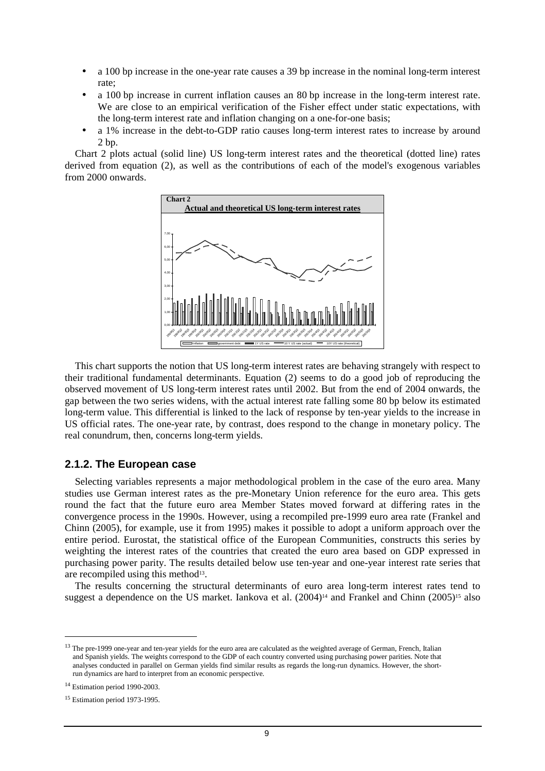- a 100 bp increase in the one-year rate causes a 39 bp increase in the nominal long-term interest rate;
- a 100 bp increase in current inflation causes an 80 bp increase in the long-term interest rate. We are close to an empirical verification of the Fisher effect under static expectations, with the long-term interest rate and inflation changing on a one-for-one basis;
- a 1% increase in the debt-to-GDP ratio causes long-term interest rates to increase by around 2 bp.

 Chart 2 plots actual (solid line) US long-term interest rates and the theoretical (dotted line) rates derived from equation (2), as well as the contributions of each of the model's exogenous variables from 2000 onwards.



 This chart supports the notion that US long-term interest rates are behaving strangely with respect to their traditional fundamental determinants. Equation (2) seems to do a good job of reproducing the observed movement of US long-term interest rates until 2002. But from the end of 2004 onwards, the gap between the two series widens, with the actual interest rate falling some 80 bp below its estimated long-term value. This differential is linked to the lack of response by ten-year yields to the increase in US official rates. The one-year rate, by contrast, does respond to the change in monetary policy. The real conundrum, then, concerns long-term yields.

### **2.1.2. The European case**

 Selecting variables represents a major methodological problem in the case of the euro area. Many studies use German interest rates as the pre-Monetary Union reference for the euro area. This gets round the fact that the future euro area Member States moved forward at differing rates in the convergence process in the 1990s. However, using a recompiled pre-1999 euro area rate (Frankel and Chinn (2005), for example, use it from 1995) makes it possible to adopt a uniform approach over the entire period. Eurostat, the statistical office of the European Communities, constructs this series by weighting the interest rates of the countries that created the euro area based on GDP expressed in purchasing power parity. The results detailed below use ten-year and one-year interest rate series that are recompiled using this method<sup>13</sup>.

 The results concerning the structural determinants of euro area long-term interest rates tend to suggest a dependence on the US market. Iankova et al.  $(2004)^{14}$  and Frankel and Chinn  $(2005)^{15}$  also

<sup>&</sup>lt;sup>13</sup> The pre-1999 one-year and ten-year yields for the euro area are calculated as the weighted average of German, French, Italian and Spanish yields. The weights correspond to the GDP of each country converted using purchasing power parities. Note that analyses conducted in parallel on German yields find similar results as regards the long-run dynamics. However, the shortrun dynamics are hard to interpret from an economic perspective.

<sup>&</sup>lt;sup>14</sup> Estimation period 1990-2003.

<sup>15</sup> Estimation period 1973-1995.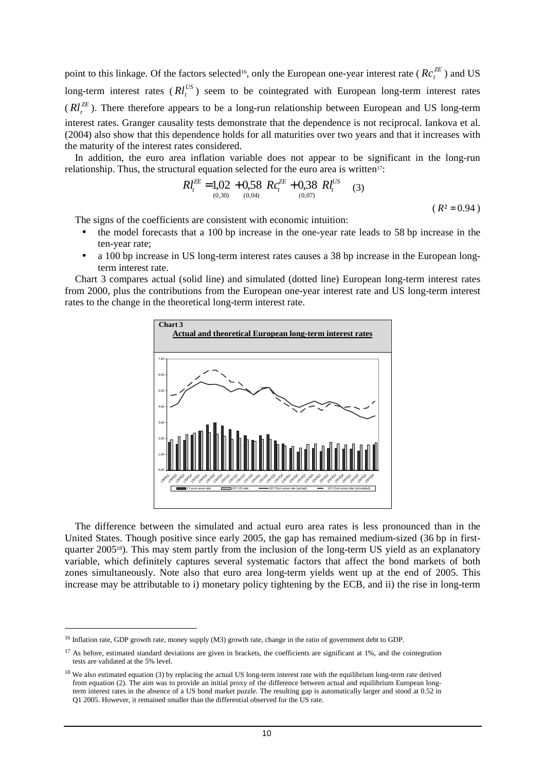point to this linkage. Of the factors selected<sup>16</sup>, only the European one-year interest rate ( $RC_t^{ZE}$ ) and US long-term interest rates  $(Rl_t^{US})$  seem to be cointegrated with European long-term interest rates  $(Rl_t^{ZE})$ . There therefore appears to be a long-run relationship between European and US long-term interest rates. Granger causality tests demonstrate that the dependence is not reciprocal. Iankova et al. (2004) also show that this dependence holds for all maturities over two years and that it increases with the maturity of the interest rates considered.

 In addition, the euro area inflation variable does not appear to be significant in the long-run relationship. Thus, the structural equation selected for the euro area is written<sup>17</sup>:

$$
Rl_t^{ZE} = 1,02 + 0,58 \ Rc_t^{ZE} + 0,38 \ Rl_t^{US} \tag{3}
$$

 $(R^2 = 0.94)$ 

The signs of the coefficients are consistent with economic intuition:

- the model forecasts that a 100 bp increase in the one-year rate leads to 58 bp increase in the ten-year rate;
- a 100 bp increase in US long-term interest rates causes a 38 bp increase in the European longterm interest rate.

 Chart 3 compares actual (solid line) and simulated (dotted line) European long-term interest rates from 2000, plus the contributions from the European one-year interest rate and US long-term interest rates to the change in the theoretical long-term interest rate.



 The difference between the simulated and actual euro area rates is less pronounced than in the United States. Though positive since early 2005, the gap has remained medium-sized (36 bp in firstquarter 2005<sup>18</sup>). This may stem partly from the inclusion of the long-term US yield as an explanatory variable, which definitely captures several systematic factors that affect the bond markets of both zones simultaneously. Note also that euro area long-term yields went up at the end of 2005. This increase may be attributable to i) monetary policy tightening by the ECB, and ii) the rise in long-term

<sup>&</sup>lt;sup>16</sup> Inflation rate, GDP growth rate, money supply (M3) growth rate, change in the ratio of government debt to GDP.

 $17$  As before, estimated standard deviations are given in brackets, the coefficients are significant at 1%, and the cointegration tests are validated at the 5% level.

<sup>&</sup>lt;sup>18</sup> We also estimated equation (3) by replacing the actual US long-term interest rate with the equilibrium long-term rate derived from equation (2). The aim was to provide an initial proxy of the difference between actual and equilibrium European longterm interest rates in the absence of a US bond market puzzle. The resulting gap is automatically larger and stood at 0.52 in Q1 2005. However, it remained smaller than the differential observed for the US rate.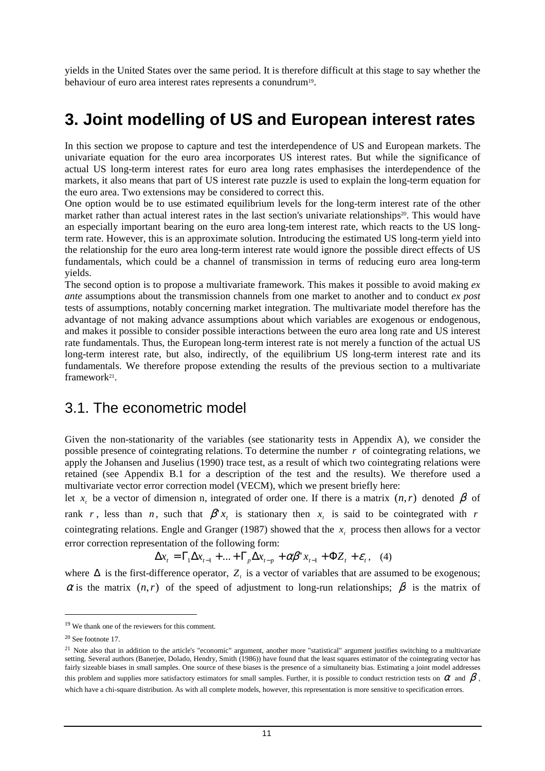yields in the United States over the same period. It is therefore difficult at this stage to say whether the behaviour of euro area interest rates represents a conundrum<sup>19</sup>.

# **3. Joint modelling of US and European interest rates**

In this section we propose to capture and test the interdependence of US and European markets. The univariate equation for the euro area incorporates US interest rates. But while the significance of actual US long-term interest rates for euro area long rates emphasises the interdependence of the markets, it also means that part of US interest rate puzzle is used to explain the long-term equation for the euro area. Two extensions may be considered to correct this.

One option would be to use estimated equilibrium levels for the long-term interest rate of the other market rather than actual interest rates in the last section's univariate relationships<sup>20</sup>. This would have an especially important bearing on the euro area long-tem interest rate, which reacts to the US longterm rate. However, this is an approximate solution. Introducing the estimated US long-term yield into the relationship for the euro area long-term interest rate would ignore the possible direct effects of US fundamentals, which could be a channel of transmission in terms of reducing euro area long-term yields.

The second option is to propose a multivariate framework. This makes it possible to avoid making *ex ante* assumptions about the transmission channels from one market to another and to conduct *ex post* tests of assumptions, notably concerning market integration. The multivariate model therefore has the advantage of not making advance assumptions about which variables are exogenous or endogenous, and makes it possible to consider possible interactions between the euro area long rate and US interest rate fundamentals. Thus, the European long-term interest rate is not merely a function of the actual US long-term interest rate, but also, indirectly, of the equilibrium US long-term interest rate and its fundamentals. We therefore propose extending the results of the previous section to a multivariate framework<sup>21</sup>.

### 3.1. The econometric model

Given the non-stationarity of the variables (see stationarity tests in Appendix A), we consider the possible presence of cointegrating relations. To determine the number *r* of cointegrating relations, we apply the Johansen and Juselius (1990) trace test, as a result of which two cointegrating relations were retained (see Appendix B.1 for a description of the test and the results). We therefore used a multivariate vector error correction model (VECM), which we present briefly here:

let  $x_i$  be a vector of dimension n, integrated of order one. If there is a matrix  $(n,r)$  denoted  $\beta$  of rank *r*, less than *n*, such that  $\beta' x_t$  is stationary then  $x_t$  is said to be cointegrated with *r* cointegrating relations. Engle and Granger (1987) showed that the  $x<sub>i</sub>$  process then allows for a vector error correction representation of the following form:

$$
\Delta x_t = \Gamma_1 \Delta x_{t-1} + \dots + \Gamma_p \Delta x_{t-p} + \alpha \beta' x_{t-1} + \Phi Z_t + \varepsilon_t, \quad (4)
$$

where  $\Delta$  is the first-difference operator,  $Z_t$  is a vector of variables that are assumed to be exogenous;  $\alpha$  is the matrix  $(n,r)$  of the speed of adjustment to long-run relationships;  $\beta$  is the matrix of

<sup>19</sup> We thank one of the reviewers for this comment.

<sup>20</sup> See footnote 17.

 $^{21}$  Note also that in addition to the article's "economic" argument, another more "statistical" argument justifies switching to a multivariate setting. Several authors (Banerjee, Dolado, Hendry, Smith (1986)) have found that the least squares estimator of the cointegrating vector has fairly sizeable biases in small samples. One source of these biases is the presence of a simultaneity bias. Estimating a joint model addresses this problem and supplies more satisfactory estimators for small samples. Further, it is possible to conduct restriction tests on  $\alpha$  and  $\beta$ , which have a chi-square distribution. As with all complete models, however, this representation is more sensitive to specification errors.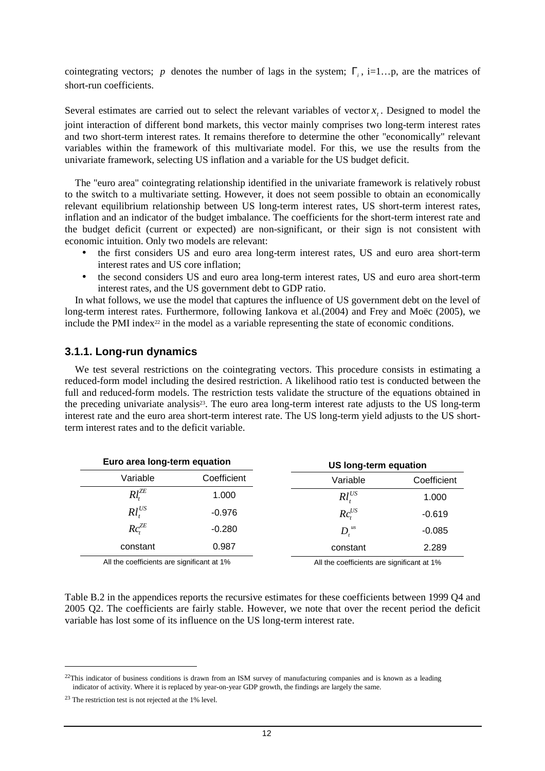cointegrating vectors; *p* denotes the number of lags in the system;  $\Gamma$ <sub>i</sub>, i=1...p, are the matrices of short-run coefficients.

Several estimates are carried out to select the relevant variables of vector  $x<sub>t</sub>$ . Designed to model the joint interaction of different bond markets, this vector mainly comprises two long-term interest rates and two short-term interest rates. It remains therefore to determine the other "economically" relevant variables within the framework of this multivariate model. For this, we use the results from the univariate framework, selecting US inflation and a variable for the US budget deficit.

 The "euro area" cointegrating relationship identified in the univariate framework is relatively robust to the switch to a multivariate setting. However, it does not seem possible to obtain an economically relevant equilibrium relationship between US long-term interest rates, US short-term interest rates, inflation and an indicator of the budget imbalance. The coefficients for the short-term interest rate and the budget deficit (current or expected) are non-significant, or their sign is not consistent with economic intuition. Only two models are relevant:

- the first considers US and euro area long-term interest rates, US and euro area short-term interest rates and US core inflation;
- the second considers US and euro area long-term interest rates, US and euro area short-term interest rates, and the US government debt to GDP ratio.

 In what follows, we use the model that captures the influence of US government debt on the level of long-term interest rates. Furthermore, following Iankova et al.(2004) and Frey and Moëc (2005), we include the PMI index $2<sup>2</sup>$  in the model as a variable representing the state of economic conditions.

### **3.1.1. Long-run dynamics**

 We test several restrictions on the cointegrating vectors. This procedure consists in estimating a reduced-form model including the desired restriction. A likelihood ratio test is conducted between the full and reduced-form models. The restriction tests validate the structure of the equations obtained in the preceding univariate analysis<sup>23</sup>. The euro area long-term interest rate adjusts to the US long-term interest rate and the euro area short-term interest rate. The US long-term yield adjusts to the US shortterm interest rates and to the deficit variable.

| Euro area long-term equation               |             | US long-term equation                      |             |  |
|--------------------------------------------|-------------|--------------------------------------------|-------------|--|
| Variable                                   | Coefficient | Variable                                   | Coefficient |  |
| $Rl_{i}^{ZE}$                              | 1.000       | $Rl_t^{US}$                                | 1.000       |  |
| $Rl_t^{US}$                                | $-0.976$    | $Rc_{i}^{US}$                              | $-0.619$    |  |
| $Rc^{ZE}_{\cdot}$                          | $-0.280$    | $D_{t}^{us}$                               | $-0.085$    |  |
| constant                                   | 0.987       | constant                                   | 2.289       |  |
| All the coefficients are significant at 1% |             | All the coefficients are significant at 1% |             |  |

Table B.2 in the appendices reports the recursive estimates for these coefficients between 1999 Q4 and 2005 Q2. The coefficients are fairly stable. However, we note that over the recent period the deficit variable has lost some of its influence on the US long-term interest rate.

<sup>&</sup>lt;sup>22</sup>This indicator of business conditions is drawn from an ISM survey of manufacturing companies and is known as a leading indicator of activity. Where it is replaced by year-on-year GDP growth, the findings are largely the same.

<sup>23</sup> The restriction test is not rejected at the 1% level.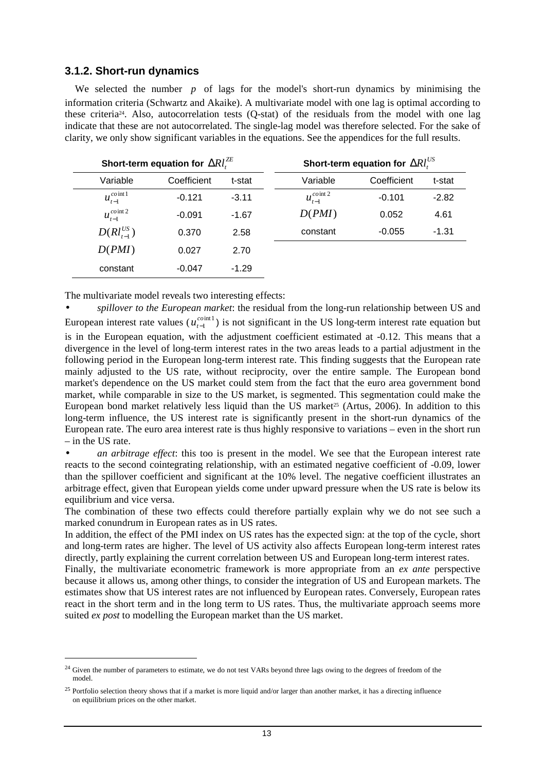### **3.1.2. Short-run dynamics**

We selected the number *p* of lags for the model's short-run dynamics by minimising the information criteria (Schwartz and Akaike). A multivariate model with one lag is optimal according to these criteria24. Also, autocorrelation tests (Q-stat) of the residuals from the model with one lag indicate that these are not autocorrelated. The single-lag model was therefore selected. For the sake of clarity, we only show significant variables in the equations. See the appendices for the full results.

| Short-term equation for $\Delta R l_c^{ZE}$ |             |         |                                       | Short-term equation for $\Delta R l_c^{US}$ |         |  |  |
|---------------------------------------------|-------------|---------|---------------------------------------|---------------------------------------------|---------|--|--|
| Variable                                    | Coefficient | t-stat  | Variable                              | Coefficient                                 | t-stat  |  |  |
| $u_{t-1}^{coint1}$                          | $-0.121$    | $-3.11$ | $\overline{u_{t-1}^{\text{coint 2}}}$ | $-0.101$                                    | $-2.82$ |  |  |
| $u_{t-1}^{coint 2}$                         | $-0.091$    | $-1.67$ | D(PMI)                                | 0.052                                       | 4.61    |  |  |
| $D(Rl_{t-1}^{US})$                          | 0.370       | 2.58    | constant                              | $-0.055$                                    | $-1.31$ |  |  |
| D(PMI)                                      | 0.027       | 2.70    |                                       |                                             |         |  |  |
| constant                                    | $-0.047$    | $-1.29$ |                                       |                                             |         |  |  |

The multivariate model reveals two interesting effects:

 $\overline{a}$ 

• *spillover to the European market*: the residual from the long-run relationship between US and European interest rate values ( $u_{t-1}^{coint1}$ *co*  $u_{t-1}^{count}$ ) is not significant in the US long-term interest rate equation but is in the European equation, with the adjustment coefficient estimated at -0.12. This means that a divergence in the level of long-term interest rates in the two areas leads to a partial adjustment in the following period in the European long-term interest rate. This finding suggests that the European rate mainly adjusted to the US rate, without reciprocity, over the entire sample. The European bond market's dependence on the US market could stem from the fact that the euro area government bond market, while comparable in size to the US market, is segmented. This segmentation could make the European bond market relatively less liquid than the US market<sup>25</sup> (Artus, 2006). In addition to this long-term influence, the US interest rate is significantly present in the short-run dynamics of the European rate. The euro area interest rate is thus highly responsive to variations – even in the short run – in the US rate.

• *an arbitrage effect*: this too is present in the model. We see that the European interest rate reacts to the second cointegrating relationship, with an estimated negative coefficient of -0.09, lower than the spillover coefficient and significant at the 10% level. The negative coefficient illustrates an arbitrage effect, given that European yields come under upward pressure when the US rate is below its equilibrium and vice versa.

The combination of these two effects could therefore partially explain why we do not see such a marked conundrum in European rates as in US rates.

In addition, the effect of the PMI index on US rates has the expected sign: at the top of the cycle, short and long-term rates are higher. The level of US activity also affects European long-term interest rates directly, partly explaining the current correlation between US and European long-term interest rates.

Finally, the multivariate econometric framework is more appropriate from an *ex ante* perspective because it allows us, among other things, to consider the integration of US and European markets. The estimates show that US interest rates are not influenced by European rates. Conversely, European rates react in the short term and in the long term to US rates. Thus, the multivariate approach seems more suited *ex post* to modelling the European market than the US market.

<sup>&</sup>lt;sup>24</sup> Given the number of parameters to estimate, we do not test VARs beyond three lags owing to the degrees of freedom of the model.

<sup>&</sup>lt;sup>25</sup> Portfolio selection theory shows that if a market is more liquid and/or larger than another market, it has a directing influence on equilibrium prices on the other market.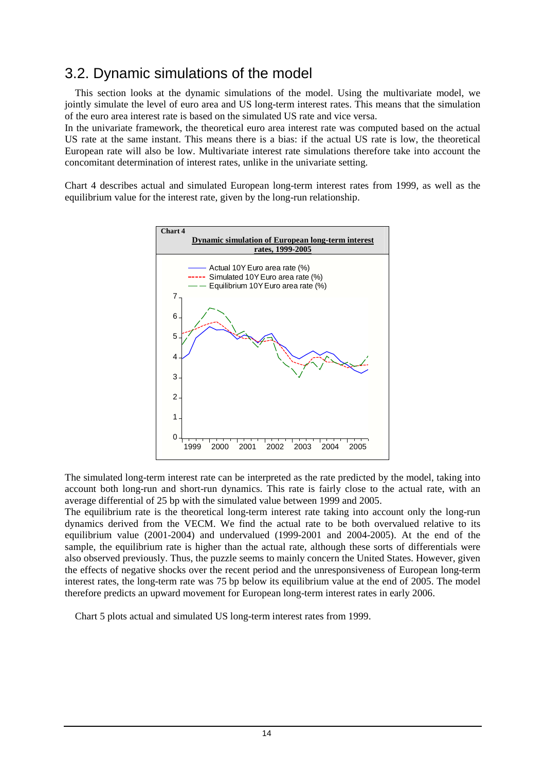## 3.2. Dynamic simulations of the model

 This section looks at the dynamic simulations of the model. Using the multivariate model, we jointly simulate the level of euro area and US long-term interest rates. This means that the simulation of the euro area interest rate is based on the simulated US rate and vice versa.

In the univariate framework, the theoretical euro area interest rate was computed based on the actual US rate at the same instant. This means there is a bias: if the actual US rate is low, the theoretical European rate will also be low. Multivariate interest rate simulations therefore take into account the concomitant determination of interest rates, unlike in the univariate setting.

Chart 4 describes actual and simulated European long-term interest rates from 1999, as well as the equilibrium value for the interest rate, given by the long-run relationship.



The simulated long-term interest rate can be interpreted as the rate predicted by the model, taking into account both long-run and short-run dynamics. This rate is fairly close to the actual rate, with an average differential of 25 bp with the simulated value between 1999 and 2005.

The equilibrium rate is the theoretical long-term interest rate taking into account only the long-run dynamics derived from the VECM. We find the actual rate to be both overvalued relative to its equilibrium value (2001-2004) and undervalued (1999-2001 and 2004-2005). At the end of the sample, the equilibrium rate is higher than the actual rate, although these sorts of differentials were also observed previously. Thus, the puzzle seems to mainly concern the United States. However, given the effects of negative shocks over the recent period and the unresponsiveness of European long-term interest rates, the long-term rate was 75 bp below its equilibrium value at the end of 2005. The model therefore predicts an upward movement for European long-term interest rates in early 2006.

Chart 5 plots actual and simulated US long-term interest rates from 1999.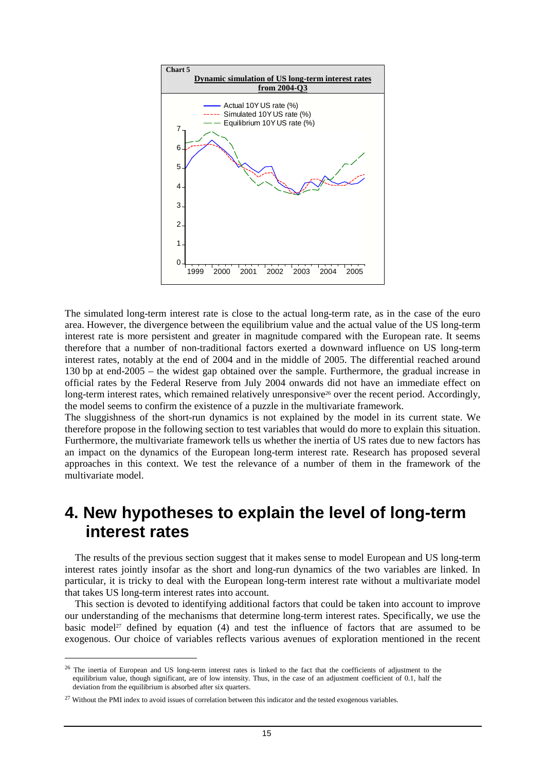

The simulated long-term interest rate is close to the actual long-term rate, as in the case of the euro area. However, the divergence between the equilibrium value and the actual value of the US long-term interest rate is more persistent and greater in magnitude compared with the European rate. It seems therefore that a number of non-traditional factors exerted a downward influence on US long-term interest rates, notably at the end of 2004 and in the middle of 2005. The differential reached around 130 bp at end-2005 – the widest gap obtained over the sample. Furthermore, the gradual increase in official rates by the Federal Reserve from July 2004 onwards did not have an immediate effect on long-term interest rates, which remained relatively unresponsive<sup>26</sup> over the recent period. Accordingly, the model seems to confirm the existence of a puzzle in the multivariate framework.

The sluggishness of the short-run dynamics is not explained by the model in its current state. We therefore propose in the following section to test variables that would do more to explain this situation. Furthermore, the multivariate framework tells us whether the inertia of US rates due to new factors has an impact on the dynamics of the European long-term interest rate. Research has proposed several approaches in this context. We test the relevance of a number of them in the framework of the multivariate model.

## **4. New hypotheses to explain the level of long-term interest rates**

 The results of the previous section suggest that it makes sense to model European and US long-term interest rates jointly insofar as the short and long-run dynamics of the two variables are linked. In particular, it is tricky to deal with the European long-term interest rate without a multivariate model that takes US long-term interest rates into account.

 This section is devoted to identifying additional factors that could be taken into account to improve our understanding of the mechanisms that determine long-term interest rates. Specifically, we use the basic model<sup>27</sup> defined by equation (4) and test the influence of factors that are assumed to be exogenous. Our choice of variables reflects various avenues of exploration mentioned in the recent

<sup>&</sup>lt;sup>26</sup> The inertia of European and US long-term interest rates is linked to the fact that the coefficients of adjustment to the equilibrium value, though significant, are of low intensity. Thus, in the case of an adjustment coefficient of 0.1, half the deviation from the equilibrium is absorbed after six quarters.

<sup>&</sup>lt;sup>27</sup> Without the PMI index to avoid issues of correlation between this indicator and the tested exogenous variables.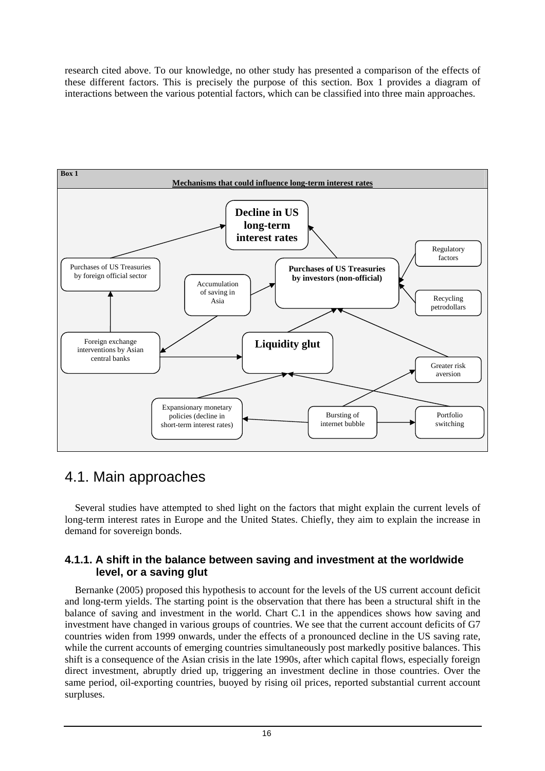research cited above. To our knowledge, no other study has presented a comparison of the effects of these different factors. This is precisely the purpose of this section. Box 1 provides a diagram of interactions between the various potential factors, which can be classified into three main approaches.



## 4.1. Main approaches

 Several studies have attempted to shed light on the factors that might explain the current levels of long-term interest rates in Europe and the United States. Chiefly, they aim to explain the increase in demand for sovereign bonds.

### **4.1.1. A shift in the balance between saving and investment at the worldwide level, or a saving glut**

 Bernanke (2005) proposed this hypothesis to account for the levels of the US current account deficit and long-term yields. The starting point is the observation that there has been a structural shift in the balance of saving and investment in the world. Chart C.1 in the appendices shows how saving and investment have changed in various groups of countries. We see that the current account deficits of G7 countries widen from 1999 onwards, under the effects of a pronounced decline in the US saving rate, while the current accounts of emerging countries simultaneously post markedly positive balances. This shift is a consequence of the Asian crisis in the late 1990s, after which capital flows, especially foreign direct investment, abruptly dried up, triggering an investment decline in those countries. Over the same period, oil-exporting countries, buoyed by rising oil prices, reported substantial current account surpluses.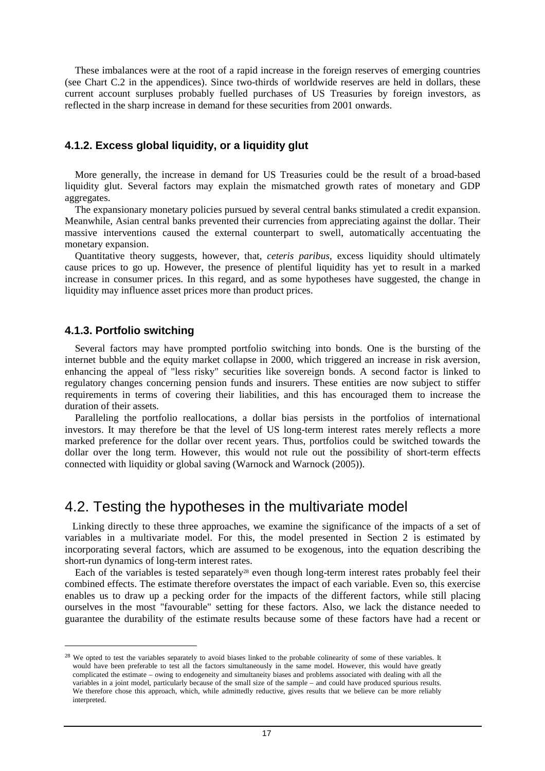These imbalances were at the root of a rapid increase in the foreign reserves of emerging countries (see Chart C.2 in the appendices). Since two-thirds of worldwide reserves are held in dollars, these current account surpluses probably fuelled purchases of US Treasuries by foreign investors, as reflected in the sharp increase in demand for these securities from 2001 onwards.

### **4.1.2. Excess global liquidity, or a liquidity glut**

 More generally, the increase in demand for US Treasuries could be the result of a broad-based liquidity glut. Several factors may explain the mismatched growth rates of monetary and GDP aggregates.

 The expansionary monetary policies pursued by several central banks stimulated a credit expansion. Meanwhile, Asian central banks prevented their currencies from appreciating against the dollar. Their massive interventions caused the external counterpart to swell, automatically accentuating the monetary expansion.

 Quantitative theory suggests, however, that, *ceteris paribus*, excess liquidity should ultimately cause prices to go up. However, the presence of plentiful liquidity has yet to result in a marked increase in consumer prices. In this regard, and as some hypotheses have suggested, the change in liquidity may influence asset prices more than product prices.

### **4.1.3. Portfolio switching**

 $\overline{a}$ 

 Several factors may have prompted portfolio switching into bonds. One is the bursting of the internet bubble and the equity market collapse in 2000, which triggered an increase in risk aversion, enhancing the appeal of "less risky" securities like sovereign bonds. A second factor is linked to regulatory changes concerning pension funds and insurers. These entities are now subject to stiffer requirements in terms of covering their liabilities, and this has encouraged them to increase the duration of their assets.

 Paralleling the portfolio reallocations, a dollar bias persists in the portfolios of international investors. It may therefore be that the level of US long-term interest rates merely reflects a more marked preference for the dollar over recent years. Thus, portfolios could be switched towards the dollar over the long term. However, this would not rule out the possibility of short-term effects connected with liquidity or global saving (Warnock and Warnock (2005)).

### 4.2. Testing the hypotheses in the multivariate model

 Linking directly to these three approaches, we examine the significance of the impacts of a set of variables in a multivariate model. For this, the model presented in Section 2 is estimated by incorporating several factors, which are assumed to be exogenous, into the equation describing the short-run dynamics of long-term interest rates.

Each of the variables is tested separately<sup>28</sup> even though long-term interest rates probably feel their combined effects. The estimate therefore overstates the impact of each variable. Even so, this exercise enables us to draw up a pecking order for the impacts of the different factors, while still placing ourselves in the most "favourable" setting for these factors. Also, we lack the distance needed to guarantee the durability of the estimate results because some of these factors have had a recent or

<sup>&</sup>lt;sup>28</sup> We opted to test the variables separately to avoid biases linked to the probable colinearity of some of these variables. It would have been preferable to test all the factors simultaneously in the same model. However, this would have greatly complicated the estimate – owing to endogeneity and simultaneity biases and problems associated with dealing with all the variables in a joint model, particularly because of the small size of the sample – and could have produced spurious results. We therefore chose this approach, which, while admittedly reductive, gives results that we believe can be more reliably interpreted.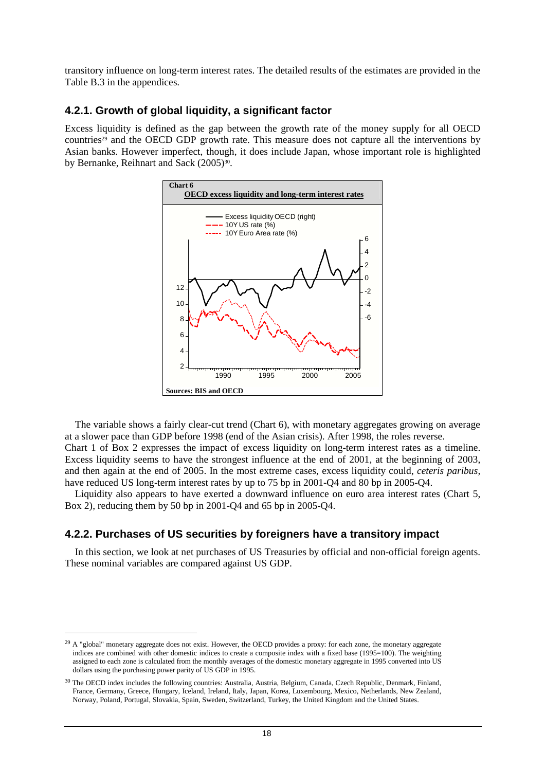transitory influence on long-term interest rates. The detailed results of the estimates are provided in the Table B.3 in the appendices.

### **4.2.1. Growth of global liquidity, a significant factor**

Excess liquidity is defined as the gap between the growth rate of the money supply for all OECD countries29 and the OECD GDP growth rate. This measure does not capture all the interventions by Asian banks. However imperfect, though, it does include Japan, whose important role is highlighted by Bernanke, Reihnart and Sack (2005)<sup>30</sup>.



 The variable shows a fairly clear-cut trend (Chart 6), with monetary aggregates growing on average at a slower pace than GDP before 1998 (end of the Asian crisis). After 1998, the roles reverse. Chart 1 of Box 2 expresses the impact of excess liquidity on long-term interest rates as a timeline. Excess liquidity seems to have the strongest influence at the end of 2001, at the beginning of 2003, and then again at the end of 2005. In the most extreme cases, excess liquidity could, *ceteris paribus,* have reduced US long-term interest rates by up to 75 bp in 2001-Q4 and 80 bp in 2005-Q4.

 Liquidity also appears to have exerted a downward influence on euro area interest rates (Chart 5, Box 2), reducing them by 50 bp in 2001-Q4 and 65 bp in 2005-Q4.

### **4.2.2. Purchases of US securities by foreigners have a transitory impact**

 In this section, we look at net purchases of US Treasuries by official and non-official foreign agents. These nominal variables are compared against US GDP.

<sup>&</sup>lt;sup>29</sup> A "global" monetary aggregate does not exist. However, the OECD provides a proxy: for each zone, the monetary aggregate indices are combined with other domestic indices to create a composite index with a fixed base (1995=100). The weighting assigned to each zone is calculated from the monthly averages of the domestic monetary aggregate in 1995 converted into US dollars using the purchasing power parity of US GDP in 1995.

<sup>&</sup>lt;sup>30</sup> The OECD index includes the following countries: Australia, Austria, Belgium, Canada, Czech Republic, Denmark, Finland, France, Germany, Greece, Hungary, Iceland, Ireland, Italy, Japan, Korea, Luxembourg, Mexico, Netherlands, New Zealand, Norway, Poland, Portugal, Slovakia, Spain, Sweden, Switzerland, Turkey, the United Kingdom and the United States.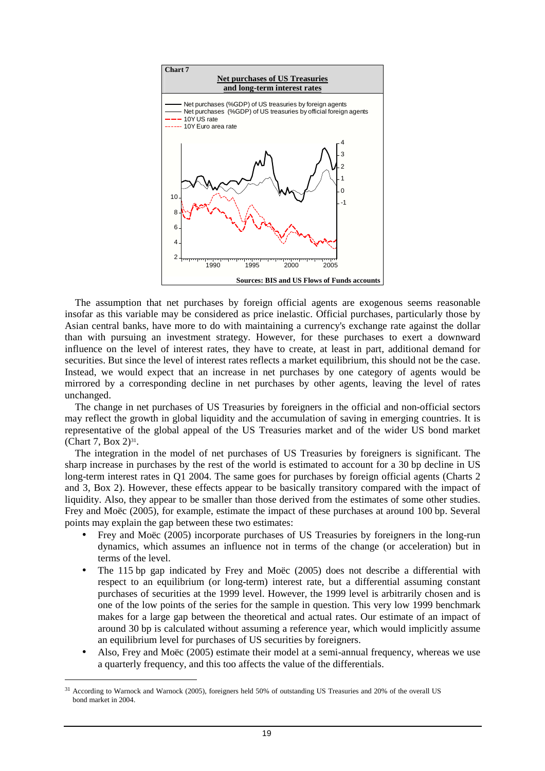

 The assumption that net purchases by foreign official agents are exogenous seems reasonable insofar as this variable may be considered as price inelastic. Official purchases, particularly those by Asian central banks, have more to do with maintaining a currency's exchange rate against the dollar than with pursuing an investment strategy. However, for these purchases to exert a downward influence on the level of interest rates, they have to create, at least in part, additional demand for securities. But since the level of interest rates reflects a market equilibrium, this should not be the case. Instead, we would expect that an increase in net purchases by one category of agents would be mirrored by a corresponding decline in net purchases by other agents, leaving the level of rates unchanged.

 The change in net purchases of US Treasuries by foreigners in the official and non-official sectors may reflect the growth in global liquidity and the accumulation of saving in emerging countries. It is representative of the global appeal of the US Treasuries market and of the wider US bond market (Chart 7, Box 2) $^{31}$ .

 The integration in the model of net purchases of US Treasuries by foreigners is significant. The sharp increase in purchases by the rest of the world is estimated to account for a 30 bp decline in US long-term interest rates in Q1 2004. The same goes for purchases by foreign official agents (Charts 2 and 3, Box 2). However, these effects appear to be basically transitory compared with the impact of liquidity. Also, they appear to be smaller than those derived from the estimates of some other studies. Frey and Moëc (2005), for example, estimate the impact of these purchases at around 100 bp. Several points may explain the gap between these two estimates:

- Frey and Moëc (2005) incorporate purchases of US Treasuries by foreigners in the long-run dynamics, which assumes an influence not in terms of the change (or acceleration) but in terms of the level.
- The 115 bp gap indicated by Frey and Moëc (2005) does not describe a differential with respect to an equilibrium (or long-term) interest rate, but a differential assuming constant purchases of securities at the 1999 level. However, the 1999 level is arbitrarily chosen and is one of the low points of the series for the sample in question. This very low 1999 benchmark makes for a large gap between the theoretical and actual rates. Our estimate of an impact of around 30 bp is calculated without assuming a reference year, which would implicitly assume an equilibrium level for purchases of US securities by foreigners.
- Also, Frey and Moëc (2005) estimate their model at a semi-annual frequency, whereas we use a quarterly frequency, and this too affects the value of the differentials.

<sup>31</sup> According to Warnock and Warnock (2005), foreigners held 50% of outstanding US Treasuries and 20% of the overall US bond market in 2004.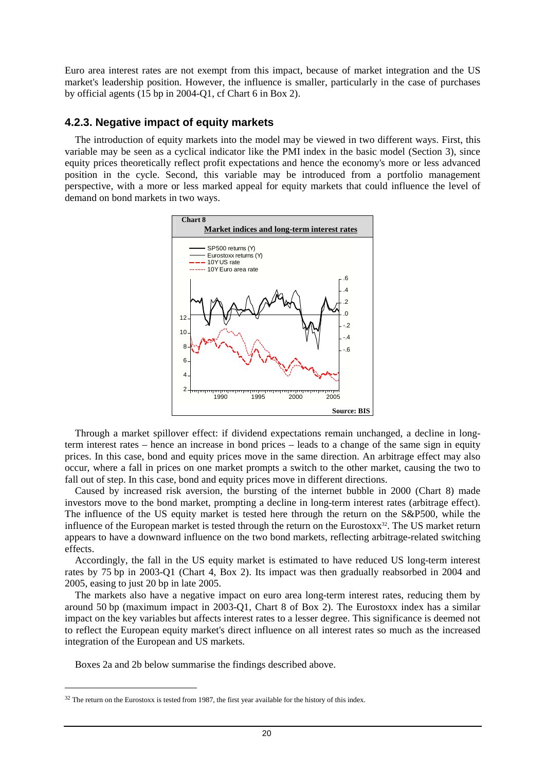Euro area interest rates are not exempt from this impact, because of market integration and the US market's leadership position. However, the influence is smaller, particularly in the case of purchases by official agents (15 bp in 2004-Q1, cf Chart 6 in Box 2).

### **4.2.3. Negative impact of equity markets**

 The introduction of equity markets into the model may be viewed in two different ways. First, this variable may be seen as a cyclical indicator like the PMI index in the basic model (Section 3), since equity prices theoretically reflect profit expectations and hence the economy's more or less advanced position in the cycle. Second, this variable may be introduced from a portfolio management perspective, with a more or less marked appeal for equity markets that could influence the level of demand on bond markets in two ways.



 Through a market spillover effect: if dividend expectations remain unchanged, a decline in longterm interest rates – hence an increase in bond prices – leads to a change of the same sign in equity prices. In this case, bond and equity prices move in the same direction. An arbitrage effect may also occur, where a fall in prices on one market prompts a switch to the other market, causing the two to fall out of step. In this case, bond and equity prices move in different directions.

 Caused by increased risk aversion, the bursting of the internet bubble in 2000 (Chart 8) made investors move to the bond market, prompting a decline in long-term interest rates (arbitrage effect). The influence of the US equity market is tested here through the return on the S&P500, while the influence of the European market is tested through the return on the Eurostoxx<sup>32</sup>. The US market return appears to have a downward influence on the two bond markets, reflecting arbitrage-related switching effects.

 Accordingly, the fall in the US equity market is estimated to have reduced US long-term interest rates by 75 bp in 2003-Q1 (Chart 4, Box 2). Its impact was then gradually reabsorbed in 2004 and 2005, easing to just 20 bp in late 2005.

 The markets also have a negative impact on euro area long-term interest rates, reducing them by around 50 bp (maximum impact in 2003-Q1, Chart 8 of Box 2). The Eurostoxx index has a similar impact on the key variables but affects interest rates to a lesser degree. This significance is deemed not to reflect the European equity market's direct influence on all interest rates so much as the increased integration of the European and US markets.

Boxes 2a and 2b below summarise the findings described above.

 $32$  The return on the Eurostoxx is tested from 1987, the first year available for the history of this index.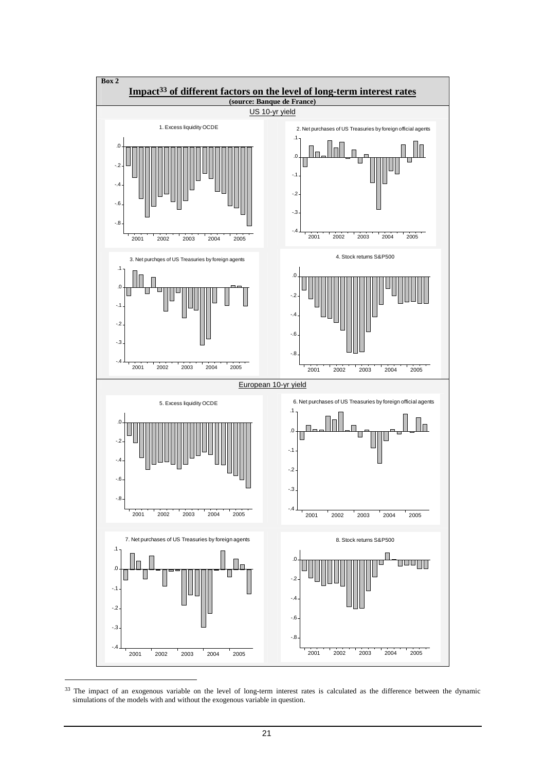

<sup>&</sup>lt;sup>33</sup> The impact of an exogenous variable on the level of long-term interest rates is calculated as the difference between the dynamic simulations of the models with and without the exogenous variable in question.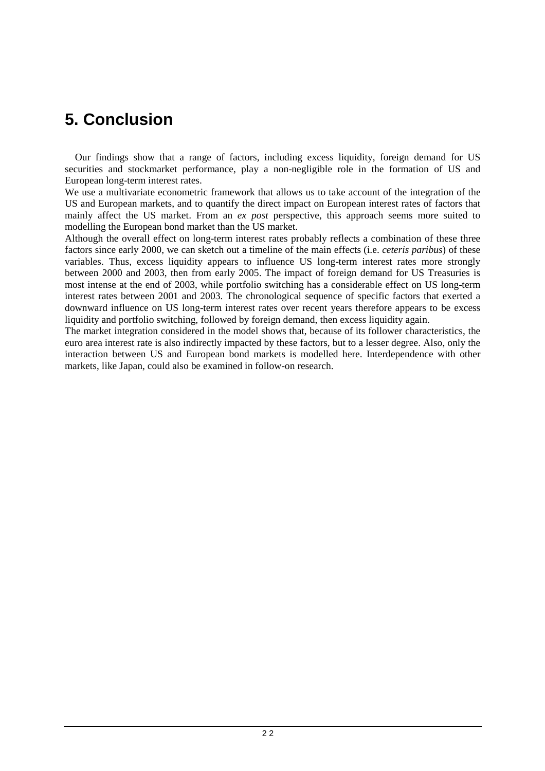# **5. Conclusion**

 Our findings show that a range of factors, including excess liquidity, foreign demand for US securities and stockmarket performance, play a non-negligible role in the formation of US and European long-term interest rates.

We use a multivariate econometric framework that allows us to take account of the integration of the US and European markets, and to quantify the direct impact on European interest rates of factors that mainly affect the US market. From an *ex post* perspective, this approach seems more suited to modelling the European bond market than the US market.

Although the overall effect on long-term interest rates probably reflects a combination of these three factors since early 2000, we can sketch out a timeline of the main effects (i.e. *ceteris paribus*) of these variables. Thus, excess liquidity appears to influence US long-term interest rates more strongly between 2000 and 2003, then from early 2005. The impact of foreign demand for US Treasuries is most intense at the end of 2003, while portfolio switching has a considerable effect on US long-term interest rates between 2001 and 2003. The chronological sequence of specific factors that exerted a downward influence on US long-term interest rates over recent years therefore appears to be excess liquidity and portfolio switching, followed by foreign demand, then excess liquidity again.

The market integration considered in the model shows that, because of its follower characteristics, the euro area interest rate is also indirectly impacted by these factors, but to a lesser degree. Also, only the interaction between US and European bond markets is modelled here. Interdependence with other markets, like Japan, could also be examined in follow-on research.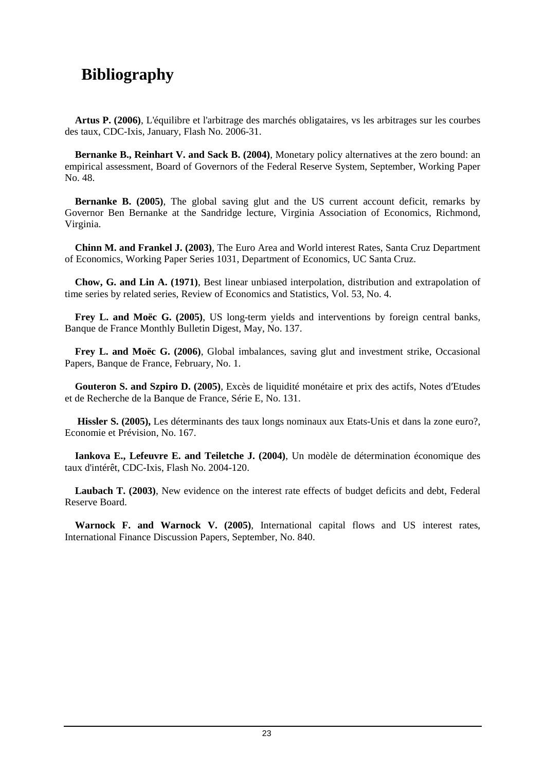# **Bibliography**

 **Artus P. (2006)**, L'équilibre et l'arbitrage des marchés obligataires, vs les arbitrages sur les courbes des taux, CDC-Ixis, January, Flash No. 2006-31.

 **Bernanke B., Reinhart V. and Sack B. (2004)**, Monetary policy alternatives at the zero bound: an empirical assessment, Board of Governors of the Federal Reserve System, September, Working Paper No. 48.

**Bernanke B. (2005)**, The global saving glut and the US current account deficit, remarks by Governor Ben Bernanke at the Sandridge lecture, Virginia Association of Economics, Richmond, Virginia.

 **Chinn M. and Frankel J. (2003)**, The Euro Area and World interest Rates, Santa Cruz Department of Economics, Working Paper Series 1031, Department of Economics, UC Santa Cruz.

 **Chow, G. and Lin A. (1971)**, Best linear unbiased interpolation, distribution and extrapolation of time series by related series, Review of Economics and Statistics, Vol. 53, No. 4.

 **Frey L. and Moëc G. (2005)**, US long-term yields and interventions by foreign central banks, Banque de France Monthly Bulletin Digest, May, No. 137.

 **Frey L. and Moëc G. (2006)**, Global imbalances, saving glut and investment strike, Occasional Papers, Banque de France, February, No. 1.

 **Gouteron S. and Szpiro D. (2005)**, Excès de liquidité monétaire et prix des actifs, Notes d′Etudes et de Recherche de la Banque de France, Série E, No. 131.

 **Hissler S. (2005),** Les déterminants des taux longs nominaux aux Etats-Unis et dans la zone euro?, Economie et Prévision, No. 167.

 **Iankova E., Lefeuvre E. and Teiletche J. (2004)**, Un modèle de détermination économique des taux d'intérêt, CDC-Ixis, Flash No. 2004-120.

 **Laubach T. (2003)**, New evidence on the interest rate effects of budget deficits and debt, Federal Reserve Board.

 **Warnock F. and Warnock V. (2005)**, International capital flows and US interest rates, International Finance Discussion Papers, September, No. 840.